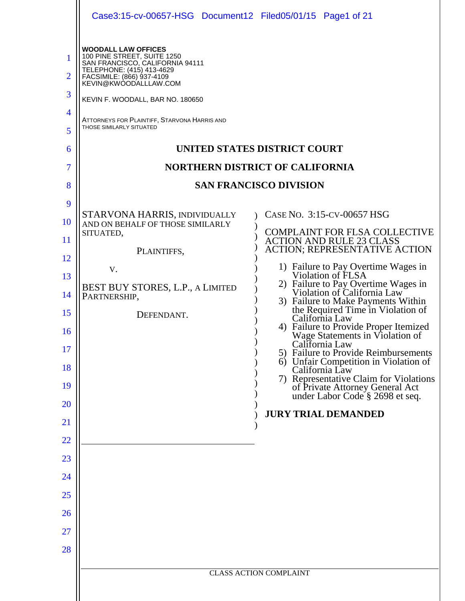| Case3:15-cv-00657-HSG Document12 Filed05/01/15 Page1 of 21                                                                                                                                                                                                                                                                                                                                                                                                               |                                                                                                                                                                                                                                                                                                                                                                                                                                                                                                                                                                                                                        |
|--------------------------------------------------------------------------------------------------------------------------------------------------------------------------------------------------------------------------------------------------------------------------------------------------------------------------------------------------------------------------------------------------------------------------------------------------------------------------|------------------------------------------------------------------------------------------------------------------------------------------------------------------------------------------------------------------------------------------------------------------------------------------------------------------------------------------------------------------------------------------------------------------------------------------------------------------------------------------------------------------------------------------------------------------------------------------------------------------------|
| <b>WOODALL LAW OFFICES</b><br>100 PINE STREET, SUITE 1250<br>SAN FRANCISCO, CALIFORNIA 94111<br>TELEPHONE: (415) 413-4629<br>FACSIMILE: (866) 937-4109<br>KEVIN@KWOODALLLAW.COM<br>KEVIN F. WOODALL, BAR NO. 180650<br>ATTORNEYS FOR PLAINTIFF, STARVONA HARRIS AND<br>THOSE SIMILARLY SITUATED<br>STARVONA HARRIS, INDIVIDUALLY<br>AND ON BEHALF OF THOSE SIMILARLY<br>SITUATED,<br>PLAINTIFFS,<br>V.<br>BEST BUY STORES, L.P., A LIMITED<br>PARTNERSHIP,<br>DEFENDANT. | UNITED STATES DISTRICT COURT<br><b>NORTHERN DISTRICT OF CALIFORNIA</b><br><b>SAN FRANCISCO DIVISION</b><br>CASE NO. 3:15-CV-00657 HSG<br><b>COMPLAINT FOR FLSA COLLECTIVE</b><br><b>ACTION AND RULE 23 CLASS</b><br>ACTION; REPRESENTATIVE ACTION<br>1) Failure to Pay Overtime Wages in<br>Violation of FLSA<br>2) Failure to Pay Overtime Wages in<br>Violation of California Law<br>3) Failure to Make Payments Within<br>the Required Time in Violation of<br>California Law<br>4) Failure to Provide Proper Itemized<br>Wage Statements in Violation of<br>California Law<br>5) Failure to Provide Reimbursements |
|                                                                                                                                                                                                                                                                                                                                                                                                                                                                          | 6) Unfair Competition in Violation of<br>California Law<br>7) Representative Claim for Violations<br>of Private Attorney General Act<br>under Labor Code § 2698 et seq.                                                                                                                                                                                                                                                                                                                                                                                                                                                |
|                                                                                                                                                                                                                                                                                                                                                                                                                                                                          | <b>JURY TRIAL DEMANDED</b>                                                                                                                                                                                                                                                                                                                                                                                                                                                                                                                                                                                             |
|                                                                                                                                                                                                                                                                                                                                                                                                                                                                          |                                                                                                                                                                                                                                                                                                                                                                                                                                                                                                                                                                                                                        |
|                                                                                                                                                                                                                                                                                                                                                                                                                                                                          |                                                                                                                                                                                                                                                                                                                                                                                                                                                                                                                                                                                                                        |
|                                                                                                                                                                                                                                                                                                                                                                                                                                                                          |                                                                                                                                                                                                                                                                                                                                                                                                                                                                                                                                                                                                                        |
|                                                                                                                                                                                                                                                                                                                                                                                                                                                                          |                                                                                                                                                                                                                                                                                                                                                                                                                                                                                                                                                                                                                        |
|                                                                                                                                                                                                                                                                                                                                                                                                                                                                          | <b>CLASS ACTION COMPLAINT</b>                                                                                                                                                                                                                                                                                                                                                                                                                                                                                                                                                                                          |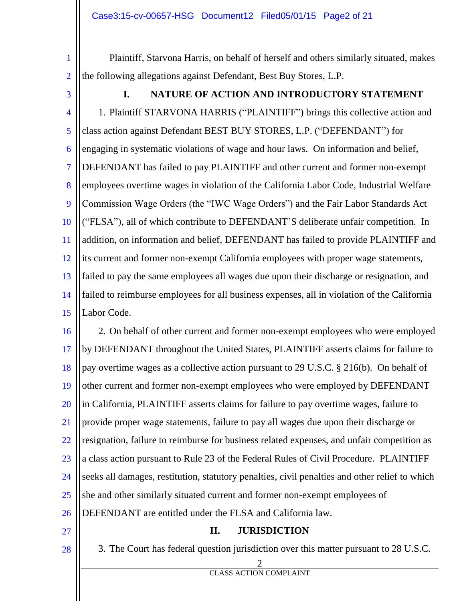1 2 Plaintiff, Starvona Harris, on behalf of herself and others similarly situated, makes the following allegations against Defendant, Best Buy Stores, L.P.

3

## **I. NATURE OF ACTION AND INTRODUCTORY STATEMENT**

4 5 6 7 8 9 10 11 12 13 14 15 1. Plaintiff STARVONA HARRIS ("PLAINTIFF") brings this collective action and class action against Defendant BEST BUY STORES, L.P. ("DEFENDANT") for engaging in systematic violations of wage and hour laws. On information and belief, DEFENDANT has failed to pay PLAINTIFF and other current and former non-exempt employees overtime wages in violation of the California Labor Code, Industrial Welfare Commission Wage Orders (the "IWC Wage Orders") and the Fair Labor Standards Act ("FLSA"), all of which contribute to DEFENDANT'S deliberate unfair competition. In addition, on information and belief, DEFENDANT has failed to provide PLAINTIFF and its current and former non-exempt California employees with proper wage statements, failed to pay the same employees all wages due upon their discharge or resignation, and failed to reimburse employees for all business expenses, all in violation of the California Labor Code.

16 17 18 19 20 21 22 23 24 25 26 2. On behalf of other current and former non-exempt employees who were employed by DEFENDANT throughout the United States, PLAINTIFF asserts claims for failure to pay overtime wages as a collective action pursuant to 29 U.S.C. § 216(b). On behalf of other current and former non-exempt employees who were employed by DEFENDANT in California, PLAINTIFF asserts claims for failure to pay overtime wages, failure to provide proper wage statements, failure to pay all wages due upon their discharge or resignation, failure to reimburse for business related expenses, and unfair competition as a class action pursuant to Rule 23 of the Federal Rules of Civil Procedure. PLAINTIFF seeks all damages, restitution, statutory penalties, civil penalties and other relief to which she and other similarly situated current and former non-exempt employees of DEFENDANT are entitled under the FLSA and California law.

27

28

#### **II. JURISDICTION**

- 3. The Court has federal question jurisdiction over this matter pursuant to 28 U.S.C.
	-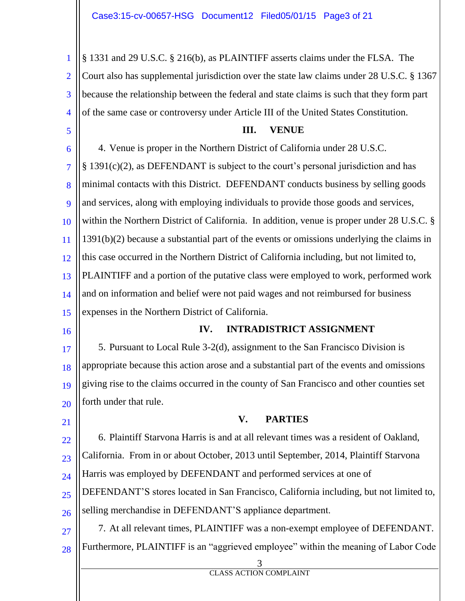1 2 3 4 § 1331 and 29 U.S.C. § 216(b), as PLAINTIFF asserts claims under the FLSA. The Court also has supplemental jurisdiction over the state law claims under 28 U.S.C. § 1367 because the relationship between the federal and state claims is such that they form part of the same case or controversy under Article III of the United States Constitution.

5

#### **III. VENUE**

6 7 8  $\mathbf Q$ 10 11 12 13  $14$ 15 4. Venue is proper in the Northern District of California under 28 U.S.C. § 1391(c)(2), as DEFENDANT is subject to the court's personal jurisdiction and has minimal contacts with this District. DEFENDANT conducts business by selling goods and services, along with employing individuals to provide those goods and services, within the Northern District of California. In addition, venue is proper under 28 U.S.C. § 1391(b)(2) because a substantial part of the events or omissions underlying the claims in this case occurred in the Northern District of California including, but not limited to, PLAINTIFF and a portion of the putative class were employed to work, performed work and on information and belief were not paid wages and not reimbursed for business expenses in the Northern District of California.

16

#### **IV. INTRADISTRICT ASSIGNMENT**

17 18 19 20 5. Pursuant to Local Rule 3-2(d), assignment to the San Francisco Division is appropriate because this action arose and a substantial part of the events and omissions giving rise to the claims occurred in the county of San Francisco and other counties set forth under that rule.

21

26

### **V. PARTIES**

22 23  $24$ 25 6. Plaintiff Starvona Harris is and at all relevant times was a resident of Oakland, California. From in or about October, 2013 until September, 2014, Plaintiff Starvona Harris was employed by DEFENDANT and performed services at one of DEFENDANT'S stores located in San Francisco, California including, but not limited to,

selling merchandise in DEFENDANT'S appliance department.

27 28 7. At all relevant times, PLAINTIFF was a non-exempt employee of DEFENDANT. Furthermore, PLAINTIFF is an "aggrieved employee" within the meaning of Labor Code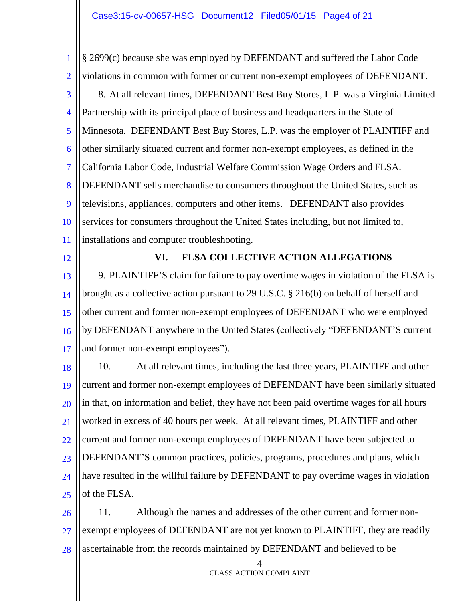1 2 3 4 5 6 7 8  $\mathbf Q$ 10 11 § 2699(c) because she was employed by DEFENDANT and suffered the Labor Code violations in common with former or current non-exempt employees of DEFENDANT. 8. At all relevant times, DEFENDANT Best Buy Stores, L.P. was a Virginia Limited Partnership with its principal place of business and headquarters in the State of Minnesota. DEFENDANT Best Buy Stores, L.P. was the employer of PLAINTIFF and other similarly situated current and former non-exempt employees, as defined in the California Labor Code, Industrial Welfare Commission Wage Orders and FLSA. DEFENDANT sells merchandise to consumers throughout the United States, such as televisions, appliances, computers and other items. DEFENDANT also provides services for consumers throughout the United States including, but not limited to, installations and computer troubleshooting.

12

#### **VI. FLSA COLLECTIVE ACTION ALLEGATIONS**

13 14 15 16 17 9. PLAINTIFF'S claim for failure to pay overtime wages in violation of the FLSA is brought as a collective action pursuant to 29 U.S.C. § 216(b) on behalf of herself and other current and former non-exempt employees of DEFENDANT who were employed by DEFENDANT anywhere in the United States (collectively "DEFENDANT'S current and former non-exempt employees").

18 19 20 21 22 23 24 25 10. At all relevant times, including the last three years, PLAINTIFF and other current and former non-exempt employees of DEFENDANT have been similarly situated in that, on information and belief, they have not been paid overtime wages for all hours worked in excess of 40 hours per week. At all relevant times, PLAINTIFF and other current and former non-exempt employees of DEFENDANT have been subjected to DEFENDANT'S common practices, policies, programs, procedures and plans, which have resulted in the willful failure by DEFENDANT to pay overtime wages in violation of the FLSA.

26 27 28 11. Although the names and addresses of the other current and former nonexempt employees of DEFENDANT are not yet known to PLAINTIFF, they are readily ascertainable from the records maintained by DEFENDANT and believed to be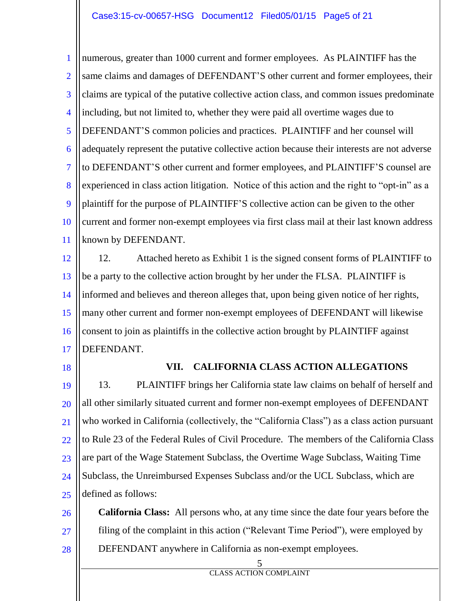1 2 3 4 5 6 7 8  $\mathbf Q$ 10 11 numerous, greater than 1000 current and former employees. As PLAINTIFF has the same claims and damages of DEFENDANT'S other current and former employees, their claims are typical of the putative collective action class, and common issues predominate including, but not limited to, whether they were paid all overtime wages due to DEFENDANT'S common policies and practices. PLAINTIFF and her counsel will adequately represent the putative collective action because their interests are not adverse to DEFENDANT'S other current and former employees, and PLAINTIFF'S counsel are experienced in class action litigation. Notice of this action and the right to "opt-in" as a plaintiff for the purpose of PLAINTIFF'S collective action can be given to the other current and former non-exempt employees via first class mail at their last known address known by DEFENDANT.

12 13 14 15 16 17 12. Attached hereto as Exhibit 1 is the signed consent forms of PLAINTIFF to be a party to the collective action brought by her under the FLSA. PLAINTIFF is informed and believes and thereon alleges that, upon being given notice of her rights, many other current and former non-exempt employees of DEFENDANT will likewise consent to join as plaintiffs in the collective action brought by PLAINTIFF against DEFENDANT.

18

#### **VII. CALIFORNIA CLASS ACTION ALLEGATIONS**

19 20 21 22 23 24 25 13. PLAINTIFF brings her California state law claims on behalf of herself and all other similarly situated current and former non-exempt employees of DEFENDANT who worked in California (collectively, the "California Class") as a class action pursuant to Rule 23 of the Federal Rules of Civil Procedure. The members of the California Class are part of the Wage Statement Subclass, the Overtime Wage Subclass, Waiting Time Subclass, the Unreimbursed Expenses Subclass and/or the UCL Subclass, which are defined as follows:

26 27 28 **California Class:** All persons who, at any time since the date four years before the filing of the complaint in this action ("Relevant Time Period"), were employed by DEFENDANT anywhere in California as non-exempt employees.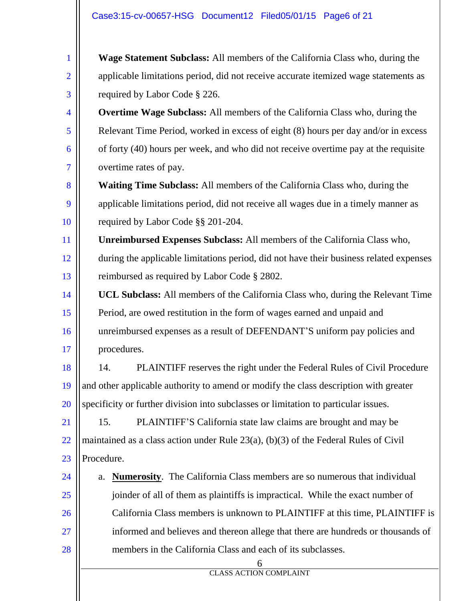1

2

3

**Wage Statement Subclass:** All members of the California Class who, during the applicable limitations period, did not receive accurate itemized wage statements as required by Labor Code § 226.

4 5 6 7 **Overtime Wage Subclass:** All members of the California Class who, during the Relevant Time Period, worked in excess of eight (8) hours per day and/or in excess of forty (40) hours per week, and who did not receive overtime pay at the requisite overtime rates of pay.

8  $\mathbf Q$ 10 **Waiting Time Subclass:** All members of the California Class who, during the applicable limitations period, did not receive all wages due in a timely manner as required by Labor Code §§ 201-204.

11 12 13 **Unreimbursed Expenses Subclass:** All members of the California Class who, during the applicable limitations period, did not have their business related expenses reimbursed as required by Labor Code § 2802.

14 15 16 17 **UCL Subclass:** All members of the California Class who, during the Relevant Time Period, are owed restitution in the form of wages earned and unpaid and unreimbursed expenses as a result of DEFENDANT'S uniform pay policies and procedures.

18 19 20 14. PLAINTIFF reserves the right under the Federal Rules of Civil Procedure and other applicable authority to amend or modify the class description with greater specificity or further division into subclasses or limitation to particular issues.

21 22 23 15. PLAINTIFF'S California state law claims are brought and may be maintained as a class action under Rule 23(a), (b)(3) of the Federal Rules of Civil Procedure.

24 25 26 27 28 a. **Numerosity**. The California Class members are so numerous that individual joinder of all of them as plaintiffs is impractical. While the exact number of California Class members is unknown to PLAINTIFF at this time, PLAINTIFF is informed and believes and thereon allege that there are hundreds or thousands of members in the California Class and each of its subclasses.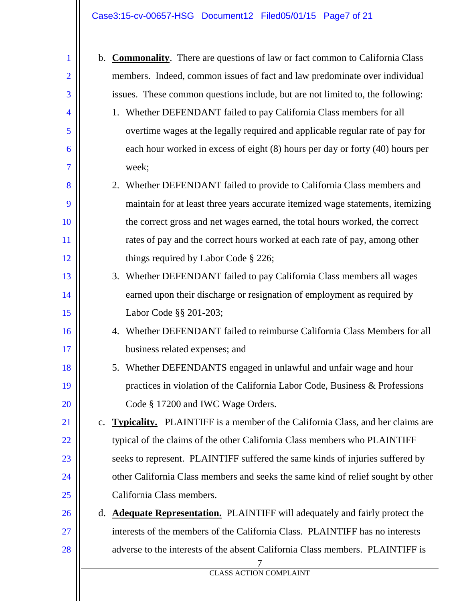# Case3:15-cv-00657-HSG Document12 Filed05/01/15 Page7 of 21

| $\mathbf{1}$   |    | b. <b>Commonality</b> . There are questions of law or fact common to California Class |
|----------------|----|---------------------------------------------------------------------------------------|
| $\overline{2}$ |    | members. Indeed, common issues of fact and law predominate over individual            |
| 3              |    | issues. These common questions include, but are not limited to, the following:        |
| $\overline{4}$ |    | 1. Whether DEFENDANT failed to pay California Class members for all                   |
| 5              |    | overtime wages at the legally required and applicable regular rate of pay for         |
| 6              |    | each hour worked in excess of eight (8) hours per day or forty (40) hours per         |
| $\overline{7}$ |    | week;                                                                                 |
| 8              |    | 2. Whether DEFENDANT failed to provide to California Class members and                |
| 9              |    | maintain for at least three years accurate itemized wage statements, itemizing        |
| 10             |    | the correct gross and net wages earned, the total hours worked, the correct           |
| <sup>11</sup>  |    | rates of pay and the correct hours worked at each rate of pay, among other            |
| 12             |    | things required by Labor Code § 226;                                                  |
| 13             |    | 3. Whether DEFENDANT failed to pay California Class members all wages                 |
| 14             |    | earned upon their discharge or resignation of employment as required by               |
| 15             |    | Labor Code §§ 201-203;                                                                |
| 16             |    | 4. Whether DEFENDANT failed to reimburse California Class Members for all             |
| 17             |    | business related expenses; and                                                        |
| 18             |    | 5. Whether DEFENDANTS engaged in unlawful and unfair wage and hour                    |
| 19             |    | practices in violation of the California Labor Code, Business & Professions           |
| 20             |    | Code § 17200 and IWC Wage Orders.                                                     |
| 21             |    | c. Typicality. PLAINTIFF is a member of the California Class, and her claims are      |
| 22             |    | typical of the claims of the other California Class members who PLAINTIFF             |
| 23             |    | seeks to represent. PLAINTIFF suffered the same kinds of injuries suffered by         |
| 24             |    | other California Class members and seeks the same kind of relief sought by other      |
| 25             |    | California Class members.                                                             |
| 26             | d. | <b>Adequate Representation.</b> PLAINTIFF will adequately and fairly protect the      |
| 27             |    | interests of the members of the California Class. PLAINTIFF has no interests          |
| 28             |    | adverse to the interests of the absent California Class members. PLAINTIFF is         |
|                |    | <b>CLASS ACTION COMPLAINT</b>                                                         |
|                |    |                                                                                       |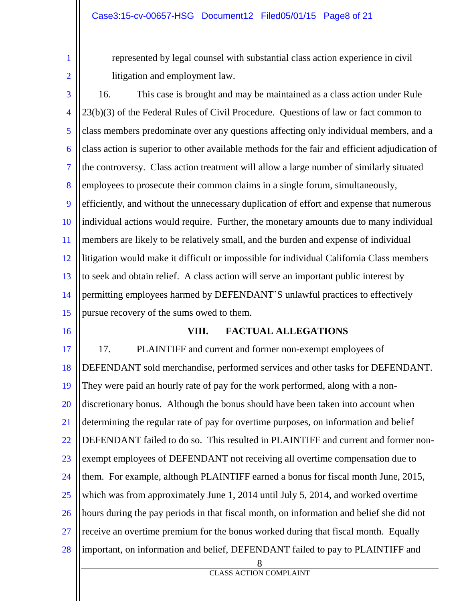1 2 represented by legal counsel with substantial class action experience in civil litigation and employment law.

3 4 5 6 7 8  $\mathbf Q$ 10 11 12 13 14 15 16. This case is brought and may be maintained as a class action under Rule 23(b)(3) of the Federal Rules of Civil Procedure. Questions of law or fact common to class members predominate over any questions affecting only individual members, and a class action is superior to other available methods for the fair and efficient adjudication of the controversy. Class action treatment will allow a large number of similarly situated employees to prosecute their common claims in a single forum, simultaneously, efficiently, and without the unnecessary duplication of effort and expense that numerous individual actions would require. Further, the monetary amounts due to many individual members are likely to be relatively small, and the burden and expense of individual litigation would make it difficult or impossible for individual California Class members to seek and obtain relief. A class action will serve an important public interest by permitting employees harmed by DEFENDANT'S unlawful practices to effectively pursue recovery of the sums owed to them.

16

#### **VIII. FACTUAL ALLEGATIONS**

8 17 18 19 20 21 22 23 24 25 26 27 28 17. PLAINTIFF and current and former non-exempt employees of DEFENDANT sold merchandise, performed services and other tasks for DEFENDANT. They were paid an hourly rate of pay for the work performed, along with a nondiscretionary bonus. Although the bonus should have been taken into account when determining the regular rate of pay for overtime purposes, on information and belief DEFENDANT failed to do so. This resulted in PLAINTIFF and current and former nonexempt employees of DEFENDANT not receiving all overtime compensation due to them. For example, although PLAINTIFF earned a bonus for fiscal month June, 2015, which was from approximately June 1, 2014 until July 5, 2014, and worked overtime hours during the pay periods in that fiscal month, on information and belief she did not receive an overtime premium for the bonus worked during that fiscal month. Equally important, on information and belief, DEFENDANT failed to pay to PLAINTIFF and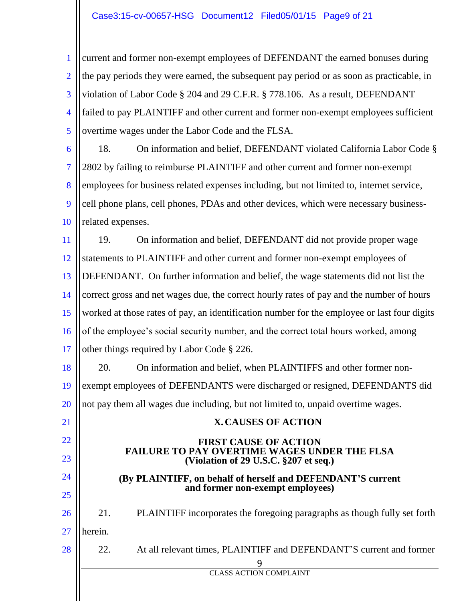#### Case3:15-cv-00657-HSG Document12 Filed05/01/15 Page9 of 21

1 2 3 4 5 current and former non-exempt employees of DEFENDANT the earned bonuses during the pay periods they were earned, the subsequent pay period or as soon as practicable, in violation of Labor Code § 204 and 29 C.F.R. § 778.106. As a result, DEFENDANT failed to pay PLAINTIFF and other current and former non-exempt employees sufficient overtime wages under the Labor Code and the FLSA.

6 7 8  $\mathbf Q$ 10 18. On information and belief, DEFENDANT violated California Labor Code § 2802 by failing to reimburse PLAINTIFF and other current and former non-exempt employees for business related expenses including, but not limited to, internet service, cell phone plans, cell phones, PDAs and other devices, which were necessary businessrelated expenses.

11 12 13 14 15 16 17 19. On information and belief, DEFENDANT did not provide proper wage statements to PLAINTIFF and other current and former non-exempt employees of DEFENDANT. On further information and belief, the wage statements did not list the correct gross and net wages due, the correct hourly rates of pay and the number of hours worked at those rates of pay, an identification number for the employee or last four digits of the employee's social security number, and the correct total hours worked, among other things required by Labor Code § 226.

18 19 20 20. On information and belief, when PLAINTIFFS and other former nonexempt employees of DEFENDANTS were discharged or resigned, DEFENDANTS did not pay them all wages due including, but not limited to, unpaid overtime wages.

# **X. CAUSES OF ACTION**

#### **FIRST CAUSE OF ACTION FAILURE TO PAY OVERTIME WAGES UNDER THE FLSA (Violation of 29 U.S.C. §207 et seq.)**

#### **(By PLAINTIFF, on behalf of herself and DEFENDANT'S current and former non-exempt employees)**

26 21. PLAINTIFF incorporates the foregoing paragraphs as though fully set forth

#### 27 herein.

21

22

23

24

25

28

9 22. At all relevant times, PLAINTIFF and DEFENDANT'S current and former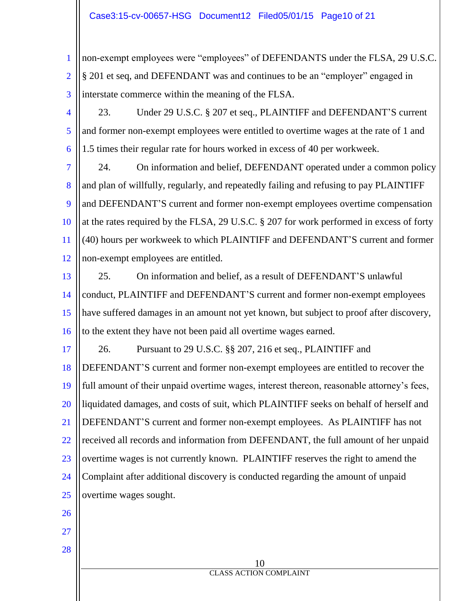#### Case3:15-cv-00657-HSG Document12 Filed05/01/15 Page10 of 21

1 2 3 non-exempt employees were "employees" of DEFENDANTS under the FLSA, 29 U.S.C. § 201 et seq, and DEFENDANT was and continues to be an "employer" engaged in interstate commerce within the meaning of the FLSA.

4 5 6 23. Under 29 U.S.C. § 207 et seq., PLAINTIFF and DEFENDANT'S current and former non-exempt employees were entitled to overtime wages at the rate of 1 and 1.5 times their regular rate for hours worked in excess of 40 per workweek.

7 8  $\mathbf Q$ 10 11 12 24. On information and belief, DEFENDANT operated under a common policy and plan of willfully, regularly, and repeatedly failing and refusing to pay PLAINTIFF and DEFENDANT'S current and former non-exempt employees overtime compensation at the rates required by the FLSA, 29 U.S.C. § 207 for work performed in excess of forty (40) hours per workweek to which PLAINTIFF and DEFENDANT'S current and former non-exempt employees are entitled.

13 14 15 16 25. On information and belief, as a result of DEFENDANT'S unlawful conduct, PLAINTIFF and DEFENDANT'S current and former non-exempt employees have suffered damages in an amount not yet known, but subject to proof after discovery, to the extent they have not been paid all overtime wages earned.

17 18 19 20 21 22 23 24 25 26. Pursuant to 29 U.S.C. §§ 207, 216 et seq., PLAINTIFF and DEFENDANT'S current and former non-exempt employees are entitled to recover the full amount of their unpaid overtime wages, interest thereon, reasonable attorney's fees, liquidated damages, and costs of suit, which PLAINTIFF seeks on behalf of herself and DEFENDANT'S current and former non-exempt employees. As PLAINTIFF has not received all records and information from DEFENDANT, the full amount of her unpaid overtime wages is not currently known. PLAINTIFF reserves the right to amend the Complaint after additional discovery is conducted regarding the amount of unpaid overtime wages sought.

> 10 CLASS ACTION COMPLAINT

- 26
- 27

28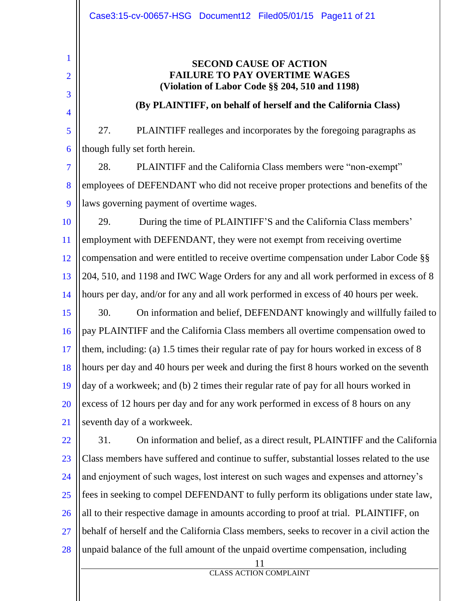11 CLASS ACTION COMPLAINT 1 2 3 4 5 6 7 8  $\mathbf Q$ 10 11 12 13 14 15 16 17 18 19 20 21 22 23 24 25 26 27 28 **SECOND CAUSE OF ACTION FAILURE TO PAY OVERTIME WAGES (Violation of Labor Code §§ 204, 510 and 1198) (By PLAINTIFF, on behalf of herself and the California Class)** 27. PLAINTIFF realleges and incorporates by the foregoing paragraphs as though fully set forth herein. 28. PLAINTIFF and the California Class members were "non-exempt" employees of DEFENDANT who did not receive proper protections and benefits of the laws governing payment of overtime wages. 29. During the time of PLAINTIFF'S and the California Class members' employment with DEFENDANT, they were not exempt from receiving overtime compensation and were entitled to receive overtime compensation under Labor Code §§ 204, 510, and 1198 and IWC Wage Orders for any and all work performed in excess of 8 hours per day, and/or for any and all work performed in excess of 40 hours per week. 30. On information and belief, DEFENDANT knowingly and willfully failed to pay PLAINTIFF and the California Class members all overtime compensation owed to them, including: (a) 1.5 times their regular rate of pay for hours worked in excess of 8 hours per day and 40 hours per week and during the first 8 hours worked on the seventh day of a workweek; and (b) 2 times their regular rate of pay for all hours worked in excess of 12 hours per day and for any work performed in excess of 8 hours on any seventh day of a workweek. 31. On information and belief, as a direct result, PLAINTIFF and the California Class members have suffered and continue to suffer, substantial losses related to the use and enjoyment of such wages, lost interest on such wages and expenses and attorney's fees in seeking to compel DEFENDANT to fully perform its obligations under state law, all to their respective damage in amounts according to proof at trial. PLAINTIFF, on behalf of herself and the California Class members, seeks to recover in a civil action the unpaid balance of the full amount of the unpaid overtime compensation, including Case3:15-cv-00657-HSG Document12 Filed05/01/15 Page11 of 21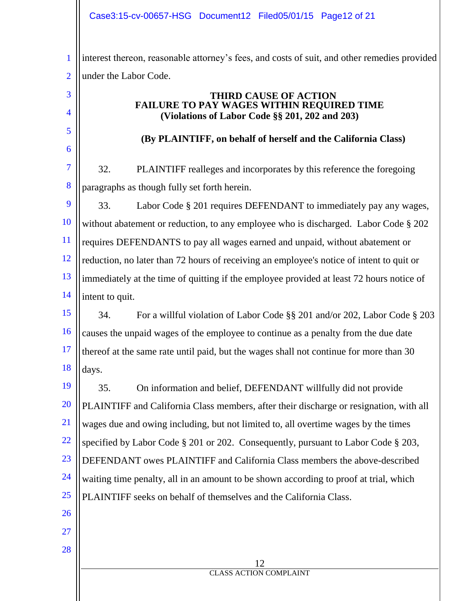1 2 interest thereon, reasonable attorney's fees, and costs of suit, and other remedies provided under the Labor Code.

#### **THIRD CAUSE OF ACTION FAILURE TO PAY WAGES WITHIN REQUIRED TIME (Violations of Labor Code §§ 201, 202 and 203)**

## **(By PLAINTIFF, on behalf of herself and the California Class)**

7 8 32. PLAINTIFF realleges and incorporates by this reference the foregoing paragraphs as though fully set forth herein.

9 10 11 12 13 14 33. Labor Code § 201 requires DEFENDANT to immediately pay any wages, without abatement or reduction, to any employee who is discharged. Labor Code § 202 requires DEFENDANTS to pay all wages earned and unpaid, without abatement or reduction, no later than 72 hours of receiving an employee's notice of intent to quit or immediately at the time of quitting if the employee provided at least 72 hours notice of intent to quit.

15 16 17 18 34. For a willful violation of Labor Code §§ 201 and/or 202, Labor Code § 203 causes the unpaid wages of the employee to continue as a penalty from the due date thereof at the same rate until paid, but the wages shall not continue for more than 30 days.

19 20 21 22 23 24 25 26 35. On information and belief, DEFENDANT willfully did not provide PLAINTIFF and California Class members, after their discharge or resignation, with all wages due and owing including, but not limited to, all overtime wages by the times specified by Labor Code § 201 or 202. Consequently, pursuant to Labor Code § 203, DEFENDANT owes PLAINTIFF and California Class members the above-described waiting time penalty, all in an amount to be shown according to proof at trial, which PLAINTIFF seeks on behalf of themselves and the California Class.

27

3

4

5

6

28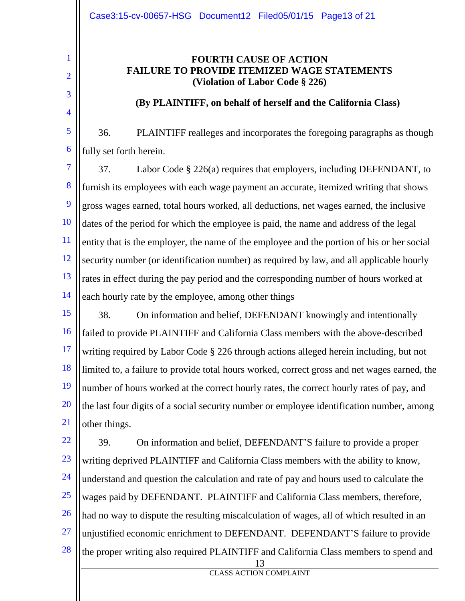1

2

3

4

### **FOURTH CAUSE OF ACTION FAILURE TO PROVIDE ITEMIZED WAGE STATEMENTS (Violation of Labor Code § 226)**

#### **(By PLAINTIFF, on behalf of herself and the California Class)**

5 6 36. PLAINTIFF realleges and incorporates the foregoing paragraphs as though fully set forth herein.

7 8 9 10 11 12 13 14 37. Labor Code § 226(a) requires that employers, including DEFENDANT, to furnish its employees with each wage payment an accurate, itemized writing that shows gross wages earned, total hours worked, all deductions, net wages earned, the inclusive dates of the period for which the employee is paid, the name and address of the legal entity that is the employer, the name of the employee and the portion of his or her social security number (or identification number) as required by law, and all applicable hourly rates in effect during the pay period and the corresponding number of hours worked at each hourly rate by the employee, among other things

15 16 17 18 19 20 21 38. On information and belief, DEFENDANT knowingly and intentionally failed to provide PLAINTIFF and California Class members with the above-described writing required by Labor Code § 226 through actions alleged herein including, but not limited to, a failure to provide total hours worked, correct gross and net wages earned, the number of hours worked at the correct hourly rates, the correct hourly rates of pay, and the last four digits of a social security number or employee identification number, among other things.

13 22 23 24 25 26 27 28 39. On information and belief, DEFENDANT'S failure to provide a proper writing deprived PLAINTIFF and California Class members with the ability to know, understand and question the calculation and rate of pay and hours used to calculate the wages paid by DEFENDANT. PLAINTIFF and California Class members, therefore, had no way to dispute the resulting miscalculation of wages, all of which resulted in an unjustified economic enrichment to DEFENDANT. DEFENDANT'S failure to provide the proper writing also required PLAINTIFF and California Class members to spend and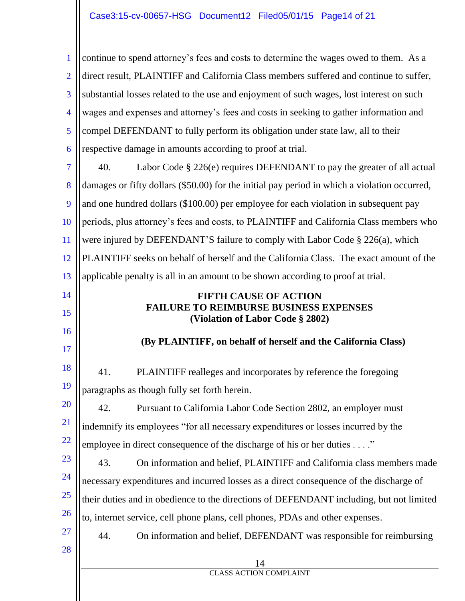14 CLASS ACTION COMPLAINT 1 2 3 4 5 6 7 8  $\mathbf Q$ 10 11 12 13 14 15 16 17 18 19 20 21 22 23 24 25 26 27 28 continue to spend attorney's fees and costs to determine the wages owed to them. As a direct result, PLAINTIFF and California Class members suffered and continue to suffer, substantial losses related to the use and enjoyment of such wages, lost interest on such wages and expenses and attorney's fees and costs in seeking to gather information and compel DEFENDANT to fully perform its obligation under state law, all to their respective damage in amounts according to proof at trial. 40. Labor Code § 226(e) requires DEFENDANT to pay the greater of all actual damages or fifty dollars (\$50.00) for the initial pay period in which a violation occurred, and one hundred dollars (\$100.00) per employee for each violation in subsequent pay periods, plus attorney's fees and costs, to PLAINTIFF and California Class members who were injured by DEFENDANT'S failure to comply with Labor Code § 226(a), which PLAINTIFF seeks on behalf of herself and the California Class. The exact amount of the applicable penalty is all in an amount to be shown according to proof at trial. **FIFTH CAUSE OF ACTION FAILURE TO REIMBURSE BUSINESS EXPENSES (Violation of Labor Code § 2802) (By PLAINTIFF, on behalf of herself and the California Class)** 41. PLAINTIFF realleges and incorporates by reference the foregoing paragraphs as though fully set forth herein. 42. Pursuant to California Labor Code Section 2802, an employer must indemnify its employees "for all necessary expenditures or losses incurred by the employee in direct consequence of the discharge of his or her duties . . . ." 43. On information and belief, PLAINTIFF and California class members made necessary expenditures and incurred losses as a direct consequence of the discharge of their duties and in obedience to the directions of DEFENDANT including, but not limited to, internet service, cell phone plans, cell phones, PDAs and other expenses. 44. On information and belief, DEFENDANT was responsible for reimbursing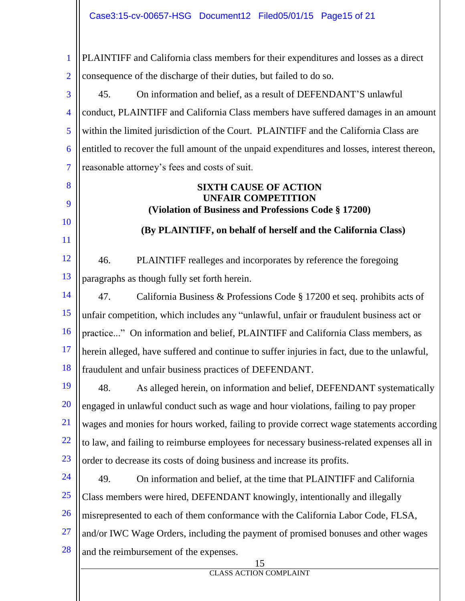1 2 PLAINTIFF and California class members for their expenditures and losses as a direct consequence of the discharge of their duties, but failed to do so.

3 4 5 6 7 45. On information and belief, as a result of DEFENDANT'S unlawful conduct, PLAINTIFF and California Class members have suffered damages in an amount within the limited jurisdiction of the Court. PLAINTIFF and the California Class are entitled to recover the full amount of the unpaid expenditures and losses, interest thereon, reasonable attorney's fees and costs of suit.

#### **SIXTH CAUSE OF ACTION UNFAIR COMPETITION (Violation of Business and Professions Code § 17200)**

**(By PLAINTIFF, on behalf of herself and the California Class)**

12 13 46. PLAINTIFF realleges and incorporates by reference the foregoing paragraphs as though fully set forth herein.

8

9

10

11

14 15 16 17 18 47. California Business & Professions Code § 17200 et seq. prohibits acts of unfair competition, which includes any "unlawful, unfair or fraudulent business act or practice..." On information and belief, PLAINTIFF and California Class members, as herein alleged, have suffered and continue to suffer injuries in fact, due to the unlawful, fraudulent and unfair business practices of DEFENDANT.

19 20 21 22 23 48. As alleged herein, on information and belief, DEFENDANT systematically engaged in unlawful conduct such as wage and hour violations, failing to pay proper wages and monies for hours worked, failing to provide correct wage statements according to law, and failing to reimburse employees for necessary business-related expenses all in order to decrease its costs of doing business and increase its profits.

24 25 26 27 28 49. On information and belief, at the time that PLAINTIFF and California Class members were hired, DEFENDANT knowingly, intentionally and illegally misrepresented to each of them conformance with the California Labor Code, FLSA, and/or IWC Wage Orders, including the payment of promised bonuses and other wages and the reimbursement of the expenses.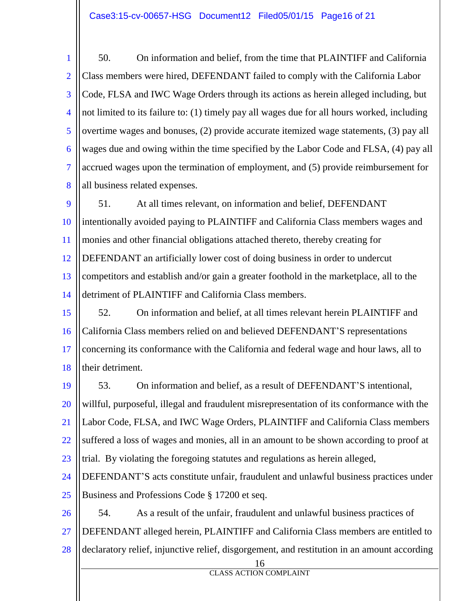#### Case3:15-cv-00657-HSG Document12 Filed05/01/15 Page16 of 21

1 2 3 4 5 6 7 8 50. On information and belief, from the time that PLAINTIFF and California Class members were hired, DEFENDANT failed to comply with the California Labor Code, FLSA and IWC Wage Orders through its actions as herein alleged including, but not limited to its failure to: (1) timely pay all wages due for all hours worked, including overtime wages and bonuses, (2) provide accurate itemized wage statements, (3) pay all wages due and owing within the time specified by the Labor Code and FLSA, (4) pay all accrued wages upon the termination of employment, and (5) provide reimbursement for all business related expenses.

 $\mathbf Q$ 10 11 12 13 14 51. At all times relevant, on information and belief, DEFENDANT intentionally avoided paying to PLAINTIFF and California Class members wages and monies and other financial obligations attached thereto, thereby creating for DEFENDANT an artificially lower cost of doing business in order to undercut competitors and establish and/or gain a greater foothold in the marketplace, all to the detriment of PLAINTIFF and California Class members.

15 16 17 18 52. On information and belief, at all times relevant herein PLAINTIFF and California Class members relied on and believed DEFENDANT'S representations concerning its conformance with the California and federal wage and hour laws, all to their detriment.

19 20 21 22 23 53. On information and belief, as a result of DEFENDANT'S intentional, willful, purposeful, illegal and fraudulent misrepresentation of its conformance with the Labor Code, FLSA, and IWC Wage Orders, PLAINTIFF and California Class members suffered a loss of wages and monies, all in an amount to be shown according to proof at trial. By violating the foregoing statutes and regulations as herein alleged,

24 25 DEFENDANT'S acts constitute unfair, fraudulent and unlawful business practices under Business and Professions Code § 17200 et seq.

26 27 28 54. As a result of the unfair, fraudulent and unlawful business practices of DEFENDANT alleged herein, PLAINTIFF and California Class members are entitled to declaratory relief, injunctive relief, disgorgement, and restitution in an amount according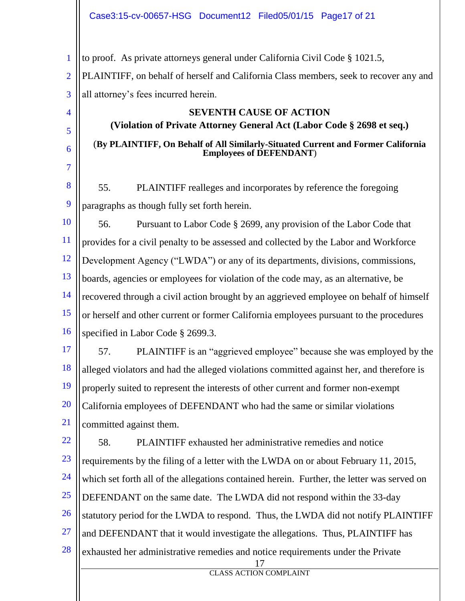#### Case3:15-cv-00657-HSG Document12 Filed05/01/15 Page17 of 21

1 to proof. As private attorneys general under California Civil Code § 1021.5,

4

5

6

7

2 3 PLAINTIFF, on behalf of herself and California Class members, seek to recover any and all attorney's fees incurred herein.

# **SEVENTH CAUSE OF ACTION (Violation of Private Attorney General Act (Labor Code § 2698 et seq.)** (**By PLAINTIFF, On Behalf of All Similarly-Situated Current and Former California Employees of DEFENDANT**)

8 9 55. PLAINTIFF realleges and incorporates by reference the foregoing paragraphs as though fully set forth herein.

10 11 12 13 14 15 16 56. Pursuant to Labor Code § 2699, any provision of the Labor Code that provides for a civil penalty to be assessed and collected by the Labor and Workforce Development Agency ("LWDA") or any of its departments, divisions, commissions, boards, agencies or employees for violation of the code may, as an alternative, be recovered through a civil action brought by an aggrieved employee on behalf of himself or herself and other current or former California employees pursuant to the procedures specified in Labor Code § 2699.3.

17 18 19 20 21 57. PLAINTIFF is an "aggrieved employee" because she was employed by the alleged violators and had the alleged violations committed against her, and therefore is properly suited to represent the interests of other current and former non-exempt California employees of DEFENDANT who had the same or similar violations committed against them.

17 22 23 24 25 26 27 28 58. PLAINTIFF exhausted her administrative remedies and notice requirements by the filing of a letter with the LWDA on or about February 11, 2015, which set forth all of the allegations contained herein. Further, the letter was served on DEFENDANT on the same date. The LWDA did not respond within the 33-day statutory period for the LWDA to respond. Thus, the LWDA did not notify PLAINTIFF and DEFENDANT that it would investigate the allegations. Thus, PLAINTIFF has exhausted her administrative remedies and notice requirements under the Private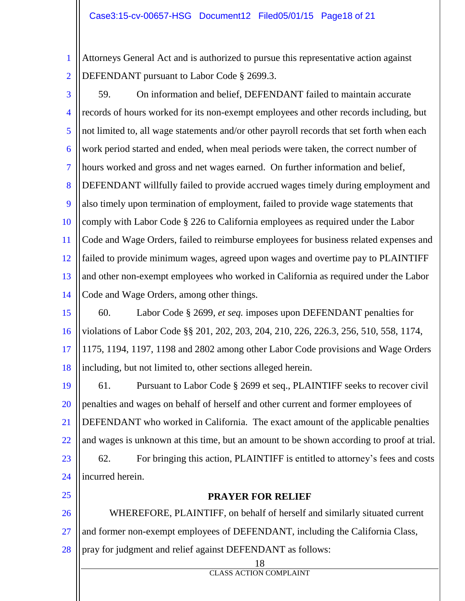1 2 Attorneys General Act and is authorized to pursue this representative action against DEFENDANT pursuant to Labor Code § 2699.3.

3

4 5 6 7 8  $\mathbf Q$ 10 11 12 13 14 59. On information and belief, DEFENDANT failed to maintain accurate records of hours worked for its non-exempt employees and other records including, but not limited to, all wage statements and/or other payroll records that set forth when each work period started and ended, when meal periods were taken, the correct number of hours worked and gross and net wages earned. On further information and belief, DEFENDANT willfully failed to provide accrued wages timely during employment and also timely upon termination of employment, failed to provide wage statements that comply with Labor Code § 226 to California employees as required under the Labor Code and Wage Orders, failed to reimburse employees for business related expenses and failed to provide minimum wages, agreed upon wages and overtime pay to PLAINTIFF and other non-exempt employees who worked in California as required under the Labor Code and Wage Orders, among other things.

15 16 17 18 60. Labor Code § 2699, *et seq.* imposes upon DEFENDANT penalties for violations of Labor Code §§ 201, 202, 203, 204, 210, 226, 226.3, 256, 510, 558, 1174, 1175, 1194, 1197, 1198 and 2802 among other Labor Code provisions and Wage Orders including, but not limited to, other sections alleged herein.

19 20 21 22 23 24 61. Pursuant to Labor Code § 2699 et seq., PLAINTIFF seeks to recover civil penalties and wages on behalf of herself and other current and former employees of DEFENDANT who worked in California. The exact amount of the applicable penalties and wages is unknown at this time, but an amount to be shown according to proof at trial. 62. For bringing this action, PLAINTIFF is entitled to attorney's fees and costs incurred herein.

- 25
- 

#### **PRAYER FOR RELIEF**

26 27 28 WHEREFORE, PLAINTIFF, on behalf of herself and similarly situated current and former non-exempt employees of DEFENDANT, including the California Class, pray for judgment and relief against DEFENDANT as follows:

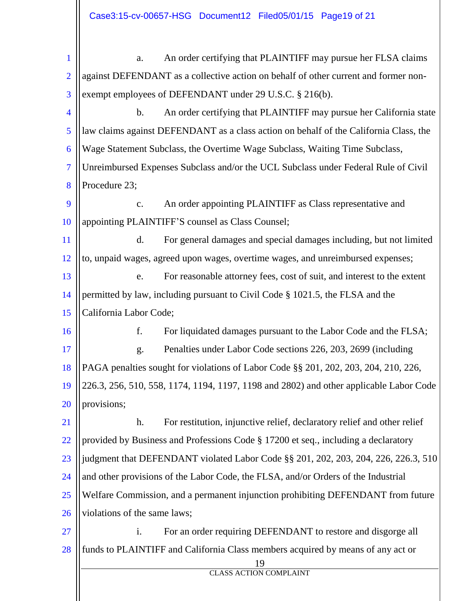| $\mathbf{1}$   | An order certifying that PLAINTIFF may pursue her FLSA claims<br>a.                    |  |  |  |  |  |
|----------------|----------------------------------------------------------------------------------------|--|--|--|--|--|
| $\overline{2}$ | against DEFENDANT as a collective action on behalf of other current and former non-    |  |  |  |  |  |
| 3              | exempt employees of DEFENDANT under 29 U.S.C. § 216(b).                                |  |  |  |  |  |
| $\overline{4}$ | An order certifying that PLAINTIFF may pursue her California state<br>$\mathbf b$ .    |  |  |  |  |  |
| 5              | law claims against DEFENDANT as a class action on behalf of the California Class, the  |  |  |  |  |  |
| 6              | Wage Statement Subclass, the Overtime Wage Subclass, Waiting Time Subclass,            |  |  |  |  |  |
| $\overline{7}$ | Unreimbursed Expenses Subclass and/or the UCL Subclass under Federal Rule of Civil     |  |  |  |  |  |
| 8              | Procedure 23;                                                                          |  |  |  |  |  |
| 9              | An order appointing PLAINTIFF as Class representative and<br>c.                        |  |  |  |  |  |
| 10             | appointing PLAINTIFF'S counsel as Class Counsel;                                       |  |  |  |  |  |
| 11             | For general damages and special damages including, but not limited<br>d.               |  |  |  |  |  |
| 12             | to, unpaid wages, agreed upon wages, overtime wages, and unreimbursed expenses;        |  |  |  |  |  |
| 13             | For reasonable attorney fees, cost of suit, and interest to the extent<br>e.           |  |  |  |  |  |
| 14             | permitted by law, including pursuant to Civil Code § 1021.5, the FLSA and the          |  |  |  |  |  |
| 15             | California Labor Code;                                                                 |  |  |  |  |  |
| 16             | f.<br>For liquidated damages pursuant to the Labor Code and the FLSA;                  |  |  |  |  |  |
| 17             | Penalties under Labor Code sections 226, 203, 2699 (including<br>g.                    |  |  |  |  |  |
| 18             | PAGA penalties sought for violations of Labor Code §§ 201, 202, 203, 204, 210, 226,    |  |  |  |  |  |
| 19             | 226.3, 256, 510, 558, 1174, 1194, 1197, 1198 and 2802) and other applicable Labor Code |  |  |  |  |  |
| 20             | provisions;                                                                            |  |  |  |  |  |
| 21             | For restitution, injunctive relief, declaratory relief and other relief<br>h.          |  |  |  |  |  |
| 22             | provided by Business and Professions Code § 17200 et seq., including a declaratory     |  |  |  |  |  |
| 23             | judgment that DEFENDANT violated Labor Code §§ 201, 202, 203, 204, 226, 226.3, 510     |  |  |  |  |  |
| 24             | and other provisions of the Labor Code, the FLSA, and/or Orders of the Industrial      |  |  |  |  |  |
| 25             | Welfare Commission, and a permanent injunction prohibiting DEFENDANT from future       |  |  |  |  |  |
| 26             | violations of the same laws;                                                           |  |  |  |  |  |
| <u>27</u>      | For an order requiring DEFENDANT to restore and disgorge all<br>i.                     |  |  |  |  |  |
| 28             | funds to PLAINTIFF and California Class members acquired by means of any act or<br>19  |  |  |  |  |  |
|                | <b>CLASS ACTION COMPLAINT</b>                                                          |  |  |  |  |  |
|                |                                                                                        |  |  |  |  |  |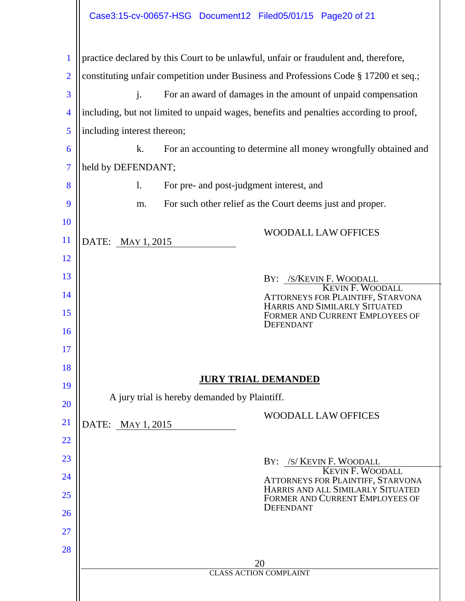|                | Case3:15-cv-00657-HSG Document12 Filed05/01/15 Page20 of 21                            |  |  |  |  |  |  |
|----------------|----------------------------------------------------------------------------------------|--|--|--|--|--|--|
| $\mathbf{1}$   | practice declared by this Court to be unlawful, unfair or fraudulent and, therefore,   |  |  |  |  |  |  |
| $\overline{2}$ | constituting unfair competition under Business and Professions Code § 17200 et seq.;   |  |  |  |  |  |  |
| 3              | $\mathbf{j}$ .<br>For an award of damages in the amount of unpaid compensation         |  |  |  |  |  |  |
| $\overline{4}$ | including, but not limited to unpaid wages, benefits and penalties according to proof, |  |  |  |  |  |  |
| 5              | including interest thereon;                                                            |  |  |  |  |  |  |
| 6              | For an accounting to determine all money wrongfully obtained and<br>k.                 |  |  |  |  |  |  |
| 7              | held by DEFENDANT;                                                                     |  |  |  |  |  |  |
| 8              | 1.<br>For pre- and post-judgment interest, and                                         |  |  |  |  |  |  |
| 9              | For such other relief as the Court deems just and proper.<br>m.                        |  |  |  |  |  |  |
| <b>10</b>      | <b>WOODALL LAW OFFICES</b>                                                             |  |  |  |  |  |  |
| <sup>11</sup>  | DATE: MAY 1, 2015                                                                      |  |  |  |  |  |  |
| 12             |                                                                                        |  |  |  |  |  |  |
| 13             | BY: /S/KEVIN F. WOODALL<br><b>KEVIN F. WOODALL</b>                                     |  |  |  |  |  |  |
| 14             | ATTORNEYS FOR PLAINTIFF, STARVONA<br>HARRIS AND SIMILARLY SITUATED                     |  |  |  |  |  |  |
| 15             | <b>FORMER AND CURRENT EMPLOYEES OF</b><br><b>DEFENDANT</b>                             |  |  |  |  |  |  |
| 16             |                                                                                        |  |  |  |  |  |  |
| 17<br>18       |                                                                                        |  |  |  |  |  |  |
| 19             | <b>JURY TRIAL DEMANDED</b>                                                             |  |  |  |  |  |  |
| <b>20</b>      | A jury trial is hereby demanded by Plaintiff.                                          |  |  |  |  |  |  |
| 21             | <b>WOODALL LAW OFFICES</b><br>DATE:<br>MAY 1, 2015                                     |  |  |  |  |  |  |
| 22             |                                                                                        |  |  |  |  |  |  |
| 23             | BY: /S/ KEVIN F. WOODALL                                                               |  |  |  |  |  |  |
| 24             | <b>KEVIN F. WOODALL</b><br>ATTORNEYS FOR PLAINTIFF, STARVONA                           |  |  |  |  |  |  |
| 25             | HARRIS AND ALL SIMILARLY SITUATED<br>FORMER AND CURRENT EMPLOYEES OF                   |  |  |  |  |  |  |
| 26             | <b>DEFENDANT</b>                                                                       |  |  |  |  |  |  |
| 27             |                                                                                        |  |  |  |  |  |  |
| 28             |                                                                                        |  |  |  |  |  |  |
|                | 20<br><b>CLASS ACTION COMPLAINT</b>                                                    |  |  |  |  |  |  |
|                |                                                                                        |  |  |  |  |  |  |